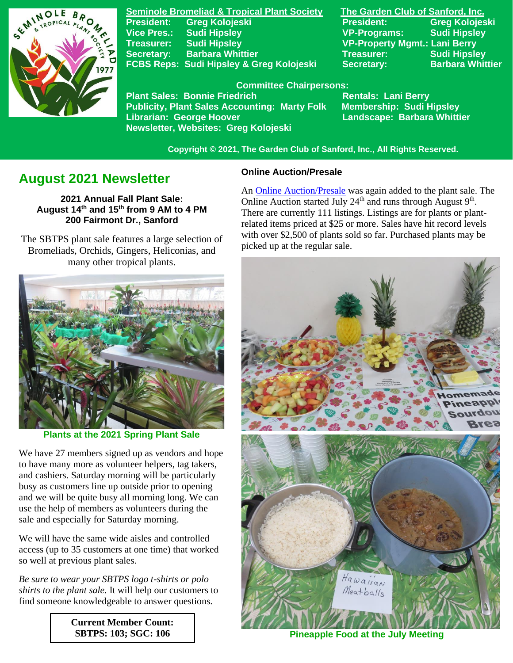

**Seminole Bromeliad & Tropical Plant Society The Garden Club of Sanford, Inc. Vice Pres.: Sudi Hipsley VP-Programs: Sudi Hipsley Treasurer: Sudi Hipsley VP-Property Mgmt.: Lani Berry Secretary:** Barbara Whittier **Network Treasurer:** Sudi Hipsley **FCBS Reps: Sudi Hipsley & Greg Kolojeski Secretary: Barbara Whittier** 

**President: Greg Kolojeski President: Greg Kolojeski** 

#### **Committee Chairpersons:**

Plant Sales: Bonnie Friedrich **Nentals: Lani Berry<br>Publicity, Plant Sales Accounting: Marty Folk Membership: Sudi Hipsley Publicity, Plant Sales Accounting: Marty Folk Librarian: George Hoover Landscape: Barbara Whittier Newsletter, Websites: Greg Kolojeski**

 **Copyright © 2021, The Garden Club of Sanford, Inc., All Rights Reserved.**

# **August 2021 Newsletter**

**2021 Annual Fall Plant Sale: August 14 th and 15 th from 9 AM to 4 PM 200 Fairmont Dr., Sanford**

 The SBTPS plant sale features a large selection of Bromeliads, Orchids, Gingers, Heliconias, and many other tropical plants.



**Plants at the 2021 Spring Plant Sale**

We have 27 members signed up as vendors and hope to have many more as volunteer helpers, tag takers, and cashiers. Saturday morning will be particularly busy as customers line up outside prior to opening and we will be quite busy all morning long. We can use the help of members as volunteers during the sale and especially for Saturday morning.

We will have the same wide aisles and controlled access (up to 35 customers at one time) that worked so well at previous plant sales.

*Be sure to wear your SBTPS logo t-shirts or polo shirts to the plant sale.* It will help our customers to find someone knowledgeable to answer questions.

> **Current Member Count: SBTPS: 103; SGC: 106**

#### **Online Auction/Presale**

An [Online Auction/Presale](https://www.32auctions.com/annualfallplantsale2021) was again added to the plant sale. The Online Auction started July  $24<sup>th</sup>$  and runs through August  $9<sup>th</sup>$ . There are currently 111 listings. Listings are for plants or plantrelated items priced at \$25 or more. Sales have hit record levels with over \$2,500 of plants sold so far. Purchased plants may be picked up at the regular sale.



**Pineapple Food at the July Meeting**